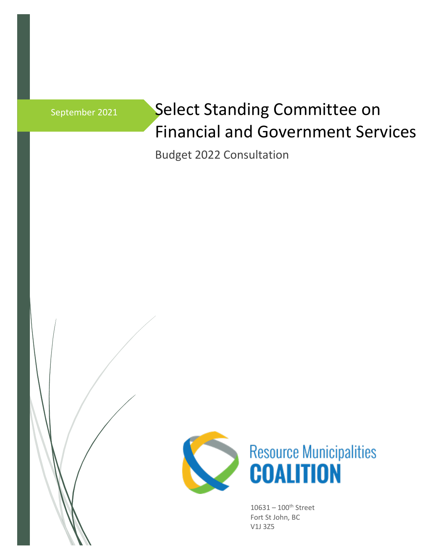# September 2021 Select Standing Committee on Financial and Government Services

Budget 2022 Consultation



 $10631 - 100$ <sup>th</sup> Street Fort St John, BC V1J 3Z5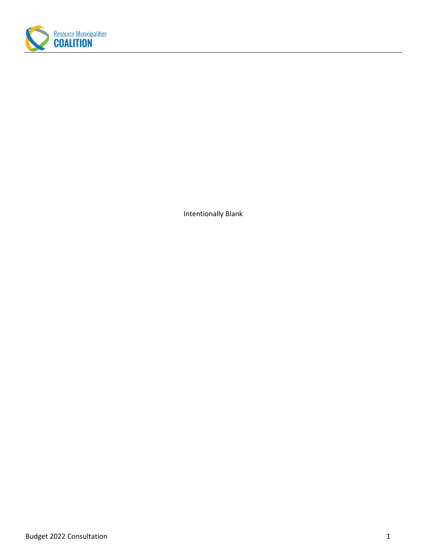

Intentionally Blank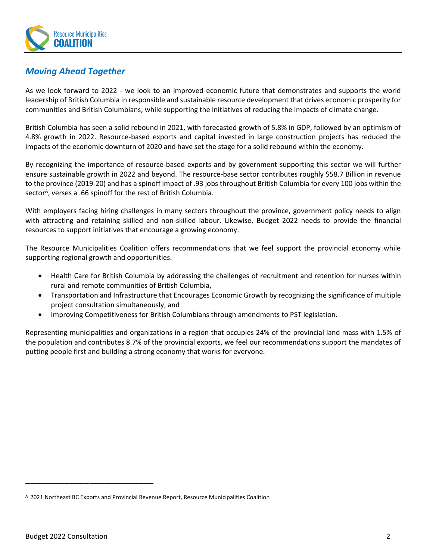

# *Moving Ahead Together*

As we look forward to 2022 - we look to an improved economic future that demonstrates and supports the world leadership of British Columbia in responsible and sustainable resource development that drives economic prosperity for communities and British Columbians, while supporting the initiatives of reducing the impacts of climate change.

British Columbia has seen a solid rebound in 2021, with forecasted growth of 5.8% in GDP, followed by an optimism of 4.8% growth in 2022. Resource-based exports and capital invested in large construction projects has reduced the impacts of the economic downturn of 2020 and have set the stage for a solid rebound within the economy.

By recognizing the importance of resource-based exports and by government supporting this sector we will further ensure sustainable growth in 2022 and beyond. The resource-base sector contributes roughly \$58.7 Billion in revenue to the province (2019-20) and has a spinoff impact of .93 jobs throughout British Columbia for every 100 jobs within the sector<sup>A</sup>, verses a .66 spinoff for the rest of British Columbia.

With employers facing hiring challenges in many sectors throughout the province, government policy needs to align with attracting and retaining skilled and non-skilled labour. Likewise, Budget 2022 needs to provide the financial resources to support initiatives that encourage a growing economy.

The Resource Municipalities Coalition offers recommendations that we feel support the provincial economy while supporting regional growth and opportunities.

- Health Care for British Columbia by addressing the challenges of recruitment and retention for nurses within rural and remote communities of British Columbia,
- Transportation and Infrastructure that Encourages Economic Growth by recognizing the significance of multiple project consultation simultaneously, and
- Improving Competitiveness for British Columbians through amendments to PST legislation.

Representing municipalities and organizations in a region that occupies 24% of the provincial land mass with 1.5% of the population and contributes 8.7% of the provincial exports, we feel our recommendations support the mandates of putting people first and building a strong economy that works for everyone.

\_\_\_\_\_\_\_\_\_\_\_\_\_\_\_\_\_\_\_\_\_\_\_\_\_\_

A 2021 Northeast BC Exports and Provincial Revenue Report, Resource Municipalities Coalition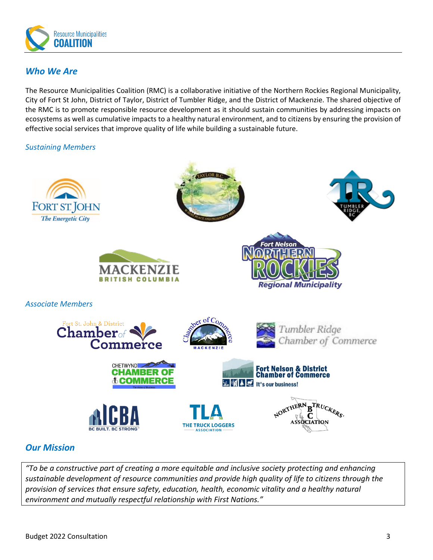

# *Who We Are*

The Resource Municipalities Coalition (RMC) is a collaborative initiative of the Northern Rockies Regional Municipality, City of Fort St John, District of Taylor, District of Tumbler Ridge, and the District of Mackenzie. The shared objective of the RMC is to promote responsible resource development as it should sustain communities by addressing impacts on ecosystems as well as cumulative impacts to a healthy natural environment, and to citizens by ensuring the provision of effective social services that improve quality of life while building a sustainable future.

## *Sustaining Members*



## *Our Mission*

*"To be a constructive part of creating a more equitable and inclusive society protecting and enhancing sustainable development of resource communities and provide high quality of life to citizens through the provision of services that ensure safety, education, health, economic vitality and a healthy natural environment and mutually respectful relationship with First Nations."*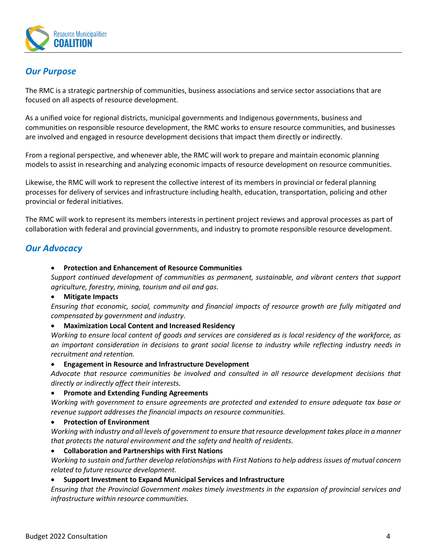

## *Our Purpose*

The RMC is a strategic partnership of communities, business associations and service sector associations that are focused on all aspects of resource development.

As a unified voice for regional districts, municipal governments and Indigenous governments, business and communities on responsible resource development, the RMC works to ensure resource communities, and businesses are involved and engaged in resource development decisions that impact them directly or indirectly.

From a regional perspective, and whenever able, the RMC will work to prepare and maintain economic planning models to assist in researching and analyzing economic impacts of resource development on resource communities.

Likewise, the RMC will work to represent the collective interest of its members in provincial or federal planning processes for delivery of services and infrastructure including health, education, transportation, policing and other provincial or federal initiatives.

The RMC will work to represent its members interests in pertinent project reviews and approval processes as part of collaboration with federal and provincial governments, and industry to promote responsible resource development.

## *Our Advocacy*

#### • **Protection and Enhancement of Resource Communities**

*Support continued development of communities as permanent, sustainable, and vibrant centers that support agriculture, forestry, mining, tourism and oil and gas.*

#### • **Mitigate Impacts**

*Ensuring that economic, social, community and financial impacts of resource growth are fully mitigated and compensated by government and industry.*

#### • **Maximization Local Content and Increased Residency**

*Working to ensure local content of goods and services are considered as is local residency of the workforce, as an important consideration in decisions to grant social license to industry while reflecting industry needs in recruitment and retention.*

#### • **Engagement in Resource and Infrastructure Development**

*Advocate that resource communities be involved and consulted in all resource development decisions that directly or indirectly affect their interests.*

#### • **Promote and Extending Funding Agreements**

*Working with government to ensure agreements are protected and extended to ensure adequate tax base or revenue support addresses the financial impacts on resource communities.*

#### • **Protection of Environment**

*Working with industry and all levels of government to ensure that resource development takes place in a manner that protects the natural environment and the safety and health of residents.*

#### • **Collaboration and Partnerships with First Nations**

*Working to sustain and further develop relationships with First Nations to help address issues of mutual concern related to future resource development.*

## • **Support Investment to Expand Municipal Services and Infrastructure**

*Ensuring that the Provincial Government makes timely investments in the expansion of provincial services and infrastructure within resource communities.*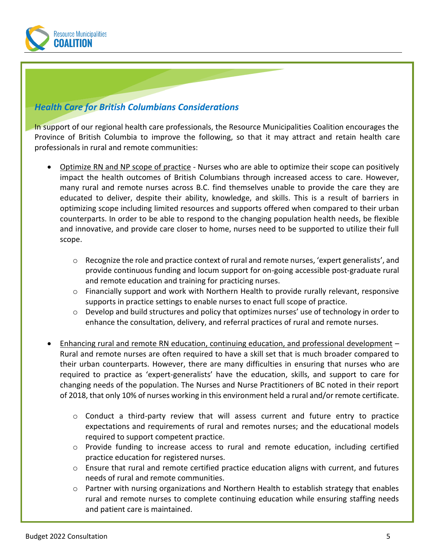

# *Health Care for British Columbians Considerations*

In support of our regional health care professionals, the Resource Municipalities Coalition encourages the Province of British Columbia to improve the following, so that it may attract and retain health care professionals in rural and remote communities:

- Optimize RN and NP scope of practice Nurses who are able to optimize their scope can positively impact the health outcomes of British Columbians through increased access to care. However, many rural and remote nurses across B.C. find themselves unable to provide the care they are educated to deliver, despite their ability, knowledge, and skills. This is a result of barriers in optimizing scope including limited resources and supports offered when compared to their urban counterparts. In order to be able to respond to the changing population health needs, be flexible and innovative, and provide care closer to home, nurses need to be supported to utilize their full scope.
	- o Recognize the role and practice context of rural and remote nurses, 'expert generalists', and provide continuous funding and locum support for on-going accessible post-graduate rural and remote education and training for practicing nurses.
	- o Financially support and work with Northern Health to provide rurally relevant, responsive supports in practice settings to enable nurses to enact full scope of practice.
	- $\circ$  Develop and build structures and policy that optimizes nurses' use of technology in order to enhance the consultation, delivery, and referral practices of rural and remote nurses.
- Enhancing rural and remote RN education, continuing education, and professional development Rural and remote nurses are often required to have a skill set that is much broader compared to their urban counterparts. However, there are many difficulties in ensuring that nurses who are required to practice as 'expert-generalists' have the education, skills, and support to care for changing needs of the population. The Nurses and Nurse Practitioners of BC noted in their report of 2018, that only 10% of nurses working in this environment held a rural and/or remote certificate.
	- o Conduct a third-party review that will assess current and future entry to practice expectations and requirements of rural and remotes nurses; and the educational models required to support competent practice.
	- $\circ$  Provide funding to increase access to rural and remote education, including certified practice education for registered nurses.
	- o Ensure that rural and remote certified practice education aligns with current, and futures needs of rural and remote communities.
	- o Partner with nursing organizations and Northern Health to establish strategy that enables rural and remote nurses to complete continuing education while ensuring staffing needs and patient care is maintained.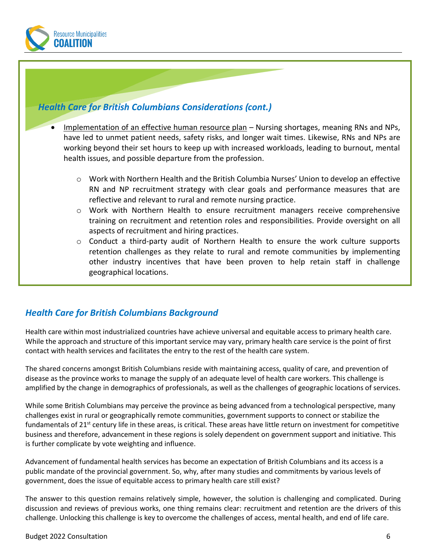

# *Health Care for British Columbians Considerations (cont.)*

- Implementation of an effective human resource plan Nursing shortages, meaning RNs and NPs, have led to unmet patient needs, safety risks, and longer wait times. Likewise, RNs and NPs are working beyond their set hours to keep up with increased workloads, leading to burnout, mental health issues, and possible departure from the profession.
	- o Work with Northern Health and the British Columbia Nurses' Union to develop an effective RN and NP recruitment strategy with clear goals and performance measures that are reflective and relevant to rural and remote nursing practice.
	- $\circ$  Work with Northern Health to ensure recruitment managers receive comprehensive training on recruitment and retention roles and responsibilities. Provide oversight on all aspects of recruitment and hiring practices.
	- o Conduct a third-party audit of Northern Health to ensure the work culture supports retention challenges as they relate to rural and remote communities by implementing other industry incentives that have been proven to help retain staff in challenge geographical locations.

# *Health Care for British Columbians Background*

Health care within most industrialized countries have achieve universal and equitable access to primary health care. While the approach and structure of this important service may vary, primary health care service is the point of first contact with health services and facilitates the entry to the rest of the health care system.

The shared concerns amongst British Columbians reside with maintaining access, quality of care, and prevention of disease as the province works to manage the supply of an adequate level of health care workers. This challenge is amplified by the change in demographics of professionals, as well as the challenges of geographic locations of services.

While some British Columbians may perceive the province as being advanced from a technological perspective, many challenges exist in rural or geographically remote communities, government supports to connect or stabilize the fundamentals of  $21^{st}$  century life in these areas, is critical. These areas have little return on investment for competitive business and therefore, advancement in these regions is solely dependent on government support and initiative. This is further complicate by vote weighting and influence.

Advancement of fundamental health services has become an expectation of British Columbians and its access is a public mandate of the provincial government. So, why, after many studies and commitments by various levels of government, does the issue of equitable access to primary health care still exist?

The answer to this question remains relatively simple, however, the solution is challenging and complicated. During discussion and reviews of previous works, one thing remains clear: recruitment and retention are the drivers of this challenge. Unlocking this challenge is key to overcome the challenges of access, mental health, and end of life care.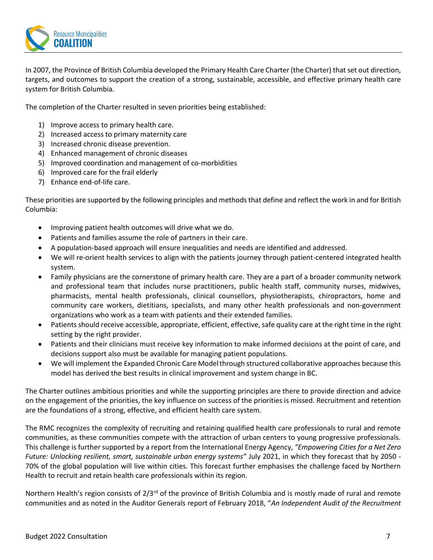

In 2007, the Province of British Columbia developed the Primary Health Care Charter (the Charter) that set out direction, targets, and outcomes to support the creation of a strong, sustainable, accessible, and effective primary health care system for British Columbia.

The completion of the Charter resulted in seven priorities being established:

- 1) Improve access to primary health care.
- 2) Increased access to primary maternity care
- 3) Increased chronic disease prevention.
- 4) Enhanced management of chronic diseases
- 5) Improved coordination and management of co-morbidities
- 6) Improved care for the frail elderly
- 7) Enhance end-of-life care.

These priorities are supported by the following principles and methods that define and reflect the work in and for British Columbia:

- Improving patient health outcomes will drive what we do.
- Patients and families assume the role of partners in their care.
- A population-based approach will ensure inequalities and needs are identified and addressed.
- We will re-orient health services to align with the patients journey through patient-centered integrated health system.
- Family physicians are the cornerstone of primary health care. They are a part of a broader community network and professional team that includes nurse practitioners, public health staff, community nurses, midwives, pharmacists, mental health professionals, clinical counsellors, physiotherapists, chiropractors, home and community care workers, dietitians, specialists, and many other health professionals and non-government organizations who work as a team with patients and their extended families.
- Patients should receive accessible, appropriate, efficient, effective, safe quality care at the right time in the right setting by the right provider.
- Patients and their clinicians must receive key information to make informed decisions at the point of care, and decisions support also must be available for managing patient populations.
- We will implement the Expanded Chronic Care Modelthrough structured collaborative approaches because this model has derived the best results in clinical improvement and system change in BC.

The Charter outlines ambitious priorities and while the supporting principles are there to provide direction and advice on the engagement of the priorities, the key influence on success of the priorities is missed. Recruitment and retention are the foundations of a strong, effective, and efficient health care system.

The RMC recognizes the complexity of recruiting and retaining qualified health care professionals to rural and remote communities, as these communities compete with the attraction of urban centers to young progressive professionals. This challenge is further supported by a report from the International Energy Agency, *"Empowering Cities for a Net Zero Future: Unlocking resilient, smart, sustainable urban energy systems"* July 2021, in which they forecast that by 2050 - 70% of the global population will live within cities. This forecast further emphasises the challenge faced by Northern Health to recruit and retain health care professionals within its region.

Northern Health's region consists of  $2/3^{rd}$  of the province of British Columbia and is mostly made of rural and remote communities and as noted in the Auditor Generals report of February 2018, "*An Independent Audit of the Recruitment*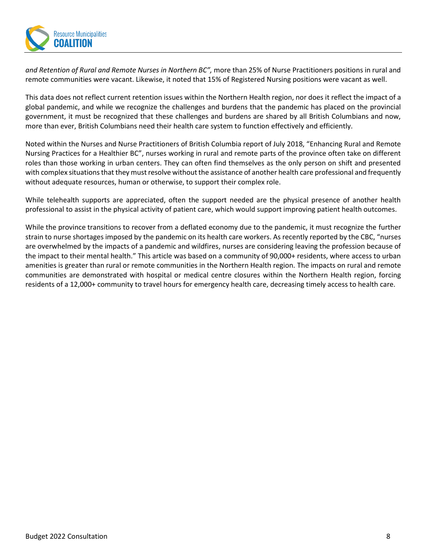

*and Retention of Rural and Remote Nurses in Northern BC",* more than 25% of Nurse Practitioners positions in rural and remote communities were vacant. Likewise, it noted that 15% of Registered Nursing positions were vacant as well.

This data does not reflect current retention issues within the Northern Health region, nor does it reflect the impact of a global pandemic, and while we recognize the challenges and burdens that the pandemic has placed on the provincial government, it must be recognized that these challenges and burdens are shared by all British Columbians and now, more than ever, British Columbians need their health care system to function effectively and efficiently.

Noted within the Nurses and Nurse Practitioners of British Columbia report of July 2018, "Enhancing Rural and Remote Nursing Practices for a Healthier BC", nurses working in rural and remote parts of the province often take on different roles than those working in urban centers. They can often find themselves as the only person on shift and presented with complex situations that they must resolve without the assistance of another health care professional and frequently without adequate resources, human or otherwise, to support their complex role.

While telehealth supports are appreciated, often the support needed are the physical presence of another health professional to assist in the physical activity of patient care, which would support improving patient health outcomes.

While the province transitions to recover from a deflated economy due to the pandemic, it must recognize the further strain to nurse shortages imposed by the pandemic on its health care workers. As recently reported by the CBC, "nurses are overwhelmed by the impacts of a pandemic and wildfires, nurses are considering leaving the profession because of the impact to their mental health." This article was based on a community of 90,000+ residents, where access to urban amenities is greater than rural or remote communities in the Northern Health region. The impacts on rural and remote communities are demonstrated with hospital or medical centre closures within the Northern Health region, forcing residents of a 12,000+ community to travel hours for emergency health care, decreasing timely access to health care.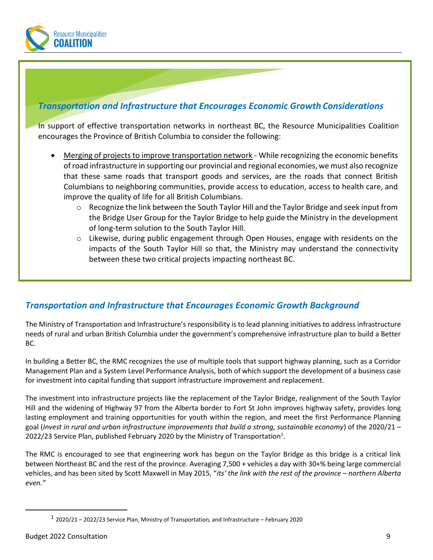

# *Transportation and Infrastructure that Encourages Economic Growth Considerations*

In support of effective transportation networks in northeast BC, the Resource Municipalities Coalition encourages the Province of British Columbia to consider the following:

- Merging of projects to improve transportation network While recognizing the economic benefits of road infrastructure in supporting our provincial and regional economies, we must also recognize that these same roads that transport goods and services, are the roads that connect British Columbians to neighboring communities, provide access to education, access to health care, and improve the quality of life for all British Columbians.
	- $\circ$  Recognize the link between the South Taylor Hill and the Taylor Bridge and seek input from the Bridge User Group for the Taylor Bridge to help guide the Ministry in the development of long-term solution to the South Taylor Hill.
	- $\circ$  Likewise, during public engagement through Open Houses, engage with residents on the impacts of the South Taylor Hill so that, the Ministry may understand the connectivity between these two critical projects impacting northeast BC.

## *Transportation and Infrastructure that Encourages Economic Growth Background*

The Ministry of Transportation and Infrastructure's responsibility is to lead planning initiatives to address infrastructure needs of rural and urban British Columbia under the government's comprehensive infrastructure plan to build a Better BC.

In building a Better BC, the RMC recognizes the use of multiple tools that support highway planning, such as a Corridor Management Plan and a System Level Performance Analysis, both of which support the development of a business case for investment into capital funding that support infrastructure improvement and replacement.

The investment into infrastructure projects like the replacement of the Taylor Bridge, realignment of the South Taylor Hill and the widening of Highway 97 from the Alberta border to Fort St John improves highway safety, provides long lasting employment and training opportunities for youth within the region, and meet the first Performance Planning goal (*Invest in rural and urban infrastructure improvements that build a strong, sustainable economy*) of the 2020/21 – 2022/23 Service Plan, published February 2020 by the Ministry of Transportation<sup>1</sup>.

The RMC is encouraged to see that engineering work has begun on the Taylor Bridge as this bridge is a critical link between Northeast BC and the rest of the province. Averaging 7,500 + vehicles a day with 30+% being large commercial vehicles, and has been sited by Scott Maxwell in May 2015, "*its' the link with the rest of the province – northern Alberta even."*

<sup>1</sup> 2020/21 – 2022/23 Service Plan, Ministry of Transportation, and Infrastructure – February 2020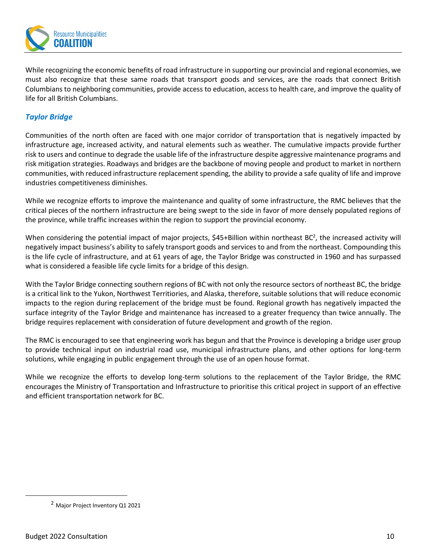

While recognizing the economic benefits of road infrastructure in supporting our provincial and regional economies, we must also recognize that these same roads that transport goods and services, are the roads that connect British Columbians to neighboring communities, provide access to education, access to health care, and improve the quality of life for all British Columbians.

## *Taylor Bridge*

Communities of the north often are faced with one major corridor of transportation that is negatively impacted by infrastructure age, increased activity, and natural elements such as weather. The cumulative impacts provide further risk to users and continue to degrade the usable life of the infrastructure despite aggressive maintenance programs and risk mitigation strategies. Roadways and bridges are the backbone of moving people and product to market in northern communities, with reduced infrastructure replacement spending, the ability to provide a safe quality of life and improve industries competitiveness diminishes.

While we recognize efforts to improve the maintenance and quality of some infrastructure, the RMC believes that the critical pieces of the northern infrastructure are being swept to the side in favor of more densely populated regions of the province, while traffic increases within the region to support the provincial economy.

When considering the potential impact of major projects, \$45+Billion within northeast BC<sup>2</sup>, the increased activity will negatively impact business's ability to safely transport goods and services to and from the northeast. Compounding this is the life cycle of infrastructure, and at 61 years of age, the Taylor Bridge was constructed in 1960 and has surpassed what is considered a feasible life cycle limits for a bridge of this design.

With the Taylor Bridge connecting southern regions of BC with not only the resource sectors of northeast BC, the bridge is a critical link to the Yukon, Northwest Territiories, and Alaska, therefore, suitable solutions that will reduce economic impacts to the region during replacement of the bridge must be found. Regional growth has negatively impacted the surface integrity of the Taylor Bridge and maintenance has increased to a greater frequency than twice annually. The bridge requires replacement with consideration of future development and growth of the region.

The RMC is encouraged to see that engineering work has begun and that the Province is developing a bridge user group to provide technical input on industrial road use, municipal infrastructure plans, and other options for long-term solutions, while engaging in public engagement through the use of an open house format.

While we recognize the efforts to develop long-term solutions to the replacement of the Taylor Bridge, the RMC encourages the Ministry of Transportation and Infrastructure to prioritise this critical project in support of an effective and efficient transportation network for BC.

<sup>2</sup> Major Project Inventory Q1 2021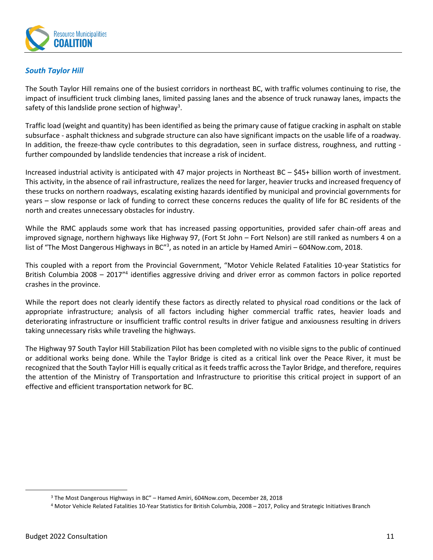

## *South Taylor Hill*

The South Taylor Hill remains one of the busiest corridors in northeast BC, with traffic volumes continuing to rise, the impact of insufficient truck climbing lanes, limited passing lanes and the absence of truck runaway lanes, impacts the safety of this landslide prone section of highway<sup>3</sup>.

Traffic load (weight and quantity) has been identified as being the primary cause of fatigue cracking in asphalt on stable subsurface - asphalt thickness and subgrade structure can also have significant impacts on the usable life of a roadway. In addition, the freeze-thaw cycle contributes to this degradation, seen in surface distress, roughness, and rutting further compounded by landslide tendencies that increase a risk of incident.

Increased industrial activity is anticipated with 47 major projects in Northeast BC – \$45+ billion worth of investment. This activity, in the absence of rail infrastructure, realizes the need for larger, heavier trucks and increased frequency of these trucks on northern roadways, escalating existing hazards identified by municipal and provincial governments for years – slow response or lack of funding to correct these concerns reduces the quality of life for BC residents of the north and creates unnecessary obstacles for industry.

While the RMC applauds some work that has increased passing opportunities, provided safer chain-off areas and improved signage, northern highways like Highway 97, (Fort St John – Fort Nelson) are still ranked as numbers 4 on a list of "The Most Dangerous Highways in BC"<sup>3</sup>, as noted in an article by Hamed Amiri - 604Now.com, 2018.

This coupled with a report from the Provincial Government, "Motor Vehicle Related Fatalities 10-year Statistics for British Columbia 2008 - 2017"<sup>4</sup> identifies aggressive driving and driver error as common factors in police reported crashes in the province.

While the report does not clearly identify these factors as directly related to physical road conditions or the lack of appropriate infrastructure; analysis of all factors including higher commercial traffic rates, heavier loads and deteriorating infrastructure or insufficient traffic control results in driver fatigue and anxiousness resulting in drivers taking unnecessary risks while traveling the highways.

The Highway 97 South Taylor Hill Stabilization Pilot has been completed with no visible signs to the public of continued or additional works being done. While the Taylor Bridge is cited as a critical link over the Peace River, it must be recognized that the South Taylor Hill is equally critical as it feeds traffic across the Taylor Bridge, and therefore, requires the attention of the Ministry of Transportation and Infrastructure to prioritise this critical project in support of an effective and efficient transportation network for BC.

<sup>3</sup> The Most Dangerous Highways in BC" – Hamed Amiri, 604Now.com, December 28, 2018

<sup>4</sup> Motor Vehicle Related Fatalities 10-Year Statistics for British Columbia, 2008 – 2017, Policy and Strategic Initiatives Branch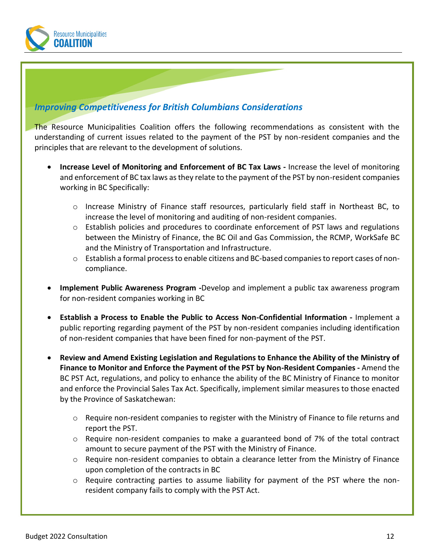

# *Improving Competitiveness for British Columbians Considerations*

The Resource Municipalities Coalition offers the following recommendations as consistent with the understanding of current issues related to the payment of the PST by non-resident companies and the principles that are relevant to the development of solutions.

- **Increase Level of Monitoring and Enforcement of BC Tax Laws -** Increase the level of monitoring and enforcement of BC tax laws as they relate to the payment of the PST by non-resident companies working in BC Specifically:
	- o Increase Ministry of Finance staff resources, particularly field staff in Northeast BC, to increase the level of monitoring and auditing of non-resident companies.
	- $\circ$  Establish policies and procedures to coordinate enforcement of PST laws and regulations between the Ministry of Finance, the BC Oil and Gas Commission, the RCMP, WorkSafe BC and the Ministry of Transportation and Infrastructure.
	- o Establish a formal process to enable citizens and BC-based companies to report cases of noncompliance.
- **Implement Public Awareness Program -**Develop and implement a public tax awareness program for non-resident companies working in BC
- **Establish a Process to Enable the Public to Access Non-Confidential Information -** Implement a public reporting regarding payment of the PST by non-resident companies including identification of non-resident companies that have been fined for non-payment of the PST.
- **Review and Amend Existing Legislation and Regulations to Enhance the Ability of the Ministry of Finance to Monitor and Enforce the Payment of the PST by Non-Resident Companies -** Amend the BC PST Act, regulations, and policy to enhance the ability of the BC Ministry of Finance to monitor and enforce the Provincial Sales Tax Act. Specifically, implement similar measures to those enacted by the Province of Saskatchewan:
	- o Require non-resident companies to register with the Ministry of Finance to file returns and report the PST.
	- $\circ$  Require non-resident companies to make a guaranteed bond of 7% of the total contract amount to secure payment of the PST with the Ministry of Finance.
	- $\circ$  Require non-resident companies to obtain a clearance letter from the Ministry of Finance upon completion of the contracts in BC
	- $\circ$  Require contracting parties to assume liability for payment of the PST where the nonresident company fails to comply with the PST Act.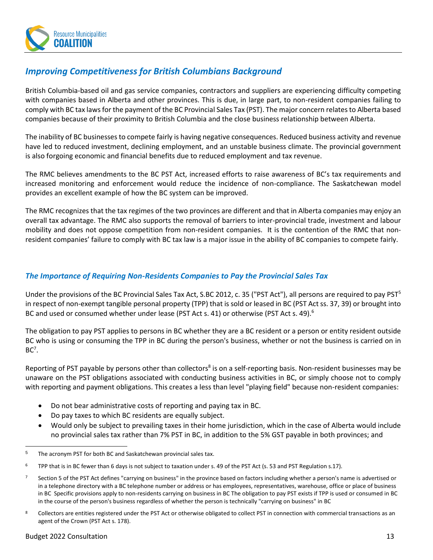

# *Improving Competitiveness for British Columbians Background*

British Columbia-based oil and gas service companies, contractors and suppliers are experiencing difficulty competing with companies based in Alberta and other provinces. This is due, in large part, to non-resident companies failing to comply with BC tax laws for the payment of the BC Provincial Sales Tax (PST). The major concern relates to Alberta based companies because of their proximity to British Columbia and the close business relationship between Alberta.

The inability of BC businesses to compete fairly is having negative consequences. Reduced business activity and revenue have led to reduced investment, declining employment, and an unstable business climate. The provincial government is also forgoing economic and financial benefits due to reduced employment and tax revenue.

The RMC believes amendments to the BC PST Act, increased efforts to raise awareness of BC's tax requirements and increased monitoring and enforcement would reduce the incidence of non-compliance. The Saskatchewan model provides an excellent example of how the BC system can be improved.

The RMC recognizes that the tax regimes of the two provinces are different and that in Alberta companies may enjoy an overall tax advantage. The RMC also supports the removal of barriers to inter-provincial trade, investment and labour mobility and does not oppose competition from non-resident companies. It is the contention of the RMC that nonresident companies' failure to comply with BC tax law is a major issue in the ability of BC companies to compete fairly.

## *The Importance of Requiring Non-Residents Companies to Pay the Provincial Sales Tax*

Under the provisions of the BC Provincial Sales Tax Act, S.BC 2012, c. 35 ("PST Act"), all persons are required to pay PST<sup>5</sup> in respect of non-exempt tangible personal property (TPP) that is sold or leased in BC (PST Act ss. 37, 39) or brought into BC and used or consumed whether under lease (PST Act s. 41) or otherwise (PST Act s. 49).<sup>6</sup>

The obligation to pay PST applies to persons in BC whether they are a BC resident or a person or entity resident outside BC who is using or consuming the TPP in BC during the person's business, whether or not the business is carried on in  $BC^7$ .

Reporting of PST payable by persons other than collectors<sup>8</sup> is on a self-reporting basis. Non-resident businesses may be unaware on the PST obligations associated with conducting business activities in BC, or simply choose not to comply with reporting and payment obligations. This creates a less than level "playing field" because non-resident companies:

- Do not bear administrative costs of reporting and paying tax in BC.
- Do pay taxes to which BC residents are equally subject.
- Would only be subject to prevailing taxes in their home jurisdiction, which in the case of Alberta would include no provincial sales tax rather than 7% PST in BC, in addition to the 5% GST payable in both provinces; and

<sup>&</sup>lt;sup>5</sup> The acronym PST for both BC and Saskatchewan provincial sales tax.

TPP that is in BC fewer than 6 days is not subject to taxation under s. 49 of the PST Act (s. 53 and PST Regulation s.17).

 $7$  Section 5 of the PST Act defines "carrying on business" in the province based on factors including whether a person's name is advertised or in a telephone directory with a BC telephone number or address or has employees, representatives, warehouse, office or place of business in BC Specific provisions apply to non-residents carrying on business in BC The obligation to pay PST exists if TPP is used or consumed in BC in the course of the person's business regardless of whether the person is technically "carrying on business" in BC

<sup>8</sup> Collectors are entities registered under the PST Act or otherwise obligated to collect PST in connection with commercial transactions as an agent of the Crown (PST Act s. 178).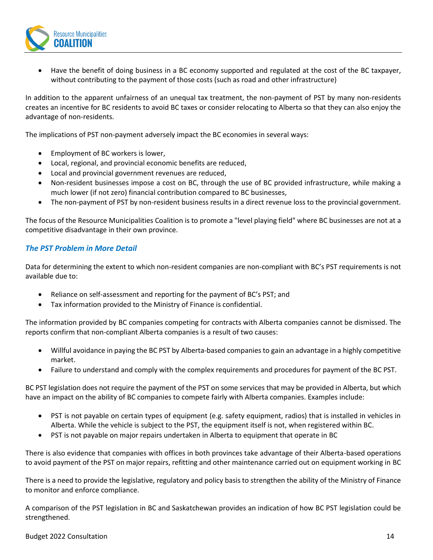

• Have the benefit of doing business in a BC economy supported and regulated at the cost of the BC taxpayer, without contributing to the payment of those costs (such as road and other infrastructure)

In addition to the apparent unfairness of an unequal tax treatment, the non-payment of PST by many non-residents creates an incentive for BC residents to avoid BC taxes or consider relocating to Alberta so that they can also enjoy the advantage of non-residents.

The implications of PST non-payment adversely impact the BC economies in several ways:

- Employment of BC workers is lower,
- Local, regional, and provincial economic benefits are reduced,
- Local and provincial government revenues are reduced,
- Non-resident businesses impose a cost on BC, through the use of BC provided infrastructure, while making a much lower (if not zero) financial contribution compared to BC businesses,
- The non-payment of PST by non-resident business results in a direct revenue loss to the provincial government.

The focus of the Resource Municipalities Coalition is to promote a "level playing field" where BC businesses are not at a competitive disadvantage in their own province.

#### *The PST Problem in More Detail*

Data for determining the extent to which non-resident companies are non-compliant with BC's PST requirements is not available due to:

- Reliance on self-assessment and reporting for the payment of BC's PST; and
- Tax information provided to the Ministry of Finance is confidential.

The information provided by BC companies competing for contracts with Alberta companies cannot be dismissed. The reports confirm that non-compliant Alberta companies is a result of two causes:

- Willful avoidance in paying the BC PST by Alberta-based companies to gain an advantage in a highly competitive market.
- Failure to understand and comply with the complex requirements and procedures for payment of the BC PST.

BC PST legislation does not require the payment of the PST on some services that may be provided in Alberta, but which have an impact on the ability of BC companies to compete fairly with Alberta companies. Examples include:

- PST is not payable on certain types of equipment (e.g. safety equipment, radios) that is installed in vehicles in Alberta. While the vehicle is subject to the PST, the equipment itself is not, when registered within BC.
- PST is not payable on major repairs undertaken in Alberta to equipment that operate in BC

There is also evidence that companies with offices in both provinces take advantage of their Alberta-based operations to avoid payment of the PST on major repairs, refitting and other maintenance carried out on equipment working in BC

There is a need to provide the legislative, regulatory and policy basis to strengthen the ability of the Ministry of Finance to monitor and enforce compliance.

A comparison of the PST legislation in BC and Saskatchewan provides an indication of how BC PST legislation could be strengthened.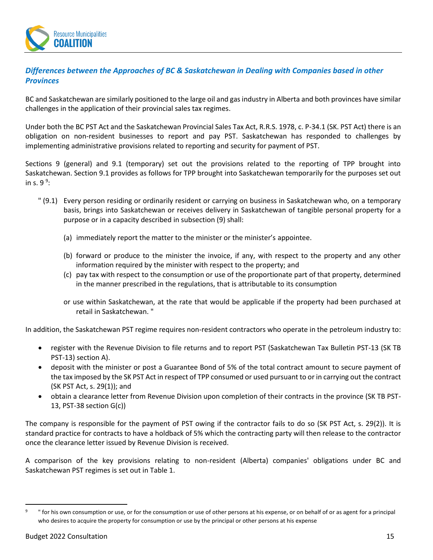

## *Differences between the Approaches of BC & Saskatchewan in Dealing with Companies based in other Provinces*

BC and Saskatchewan are similarly positioned to the large oil and gas industry in Alberta and both provinces have similar challenges in the application of their provincial sales tax regimes.

Under both the BC PST Act and the Saskatchewan Provincial Sales Tax Act, R.R.S. 1978, c. P-34.1 (SK. PST Act) there is an obligation on non-resident businesses to report and pay PST. Saskatchewan has responded to challenges by implementing administrative provisions related to reporting and security for payment of PST.

Sections 9 (general) and 9.1 (temporary) set out the provisions related to the reporting of TPP brought into Saskatchewan. Section 9.1 provides as follows for TPP brought into Saskatchewan temporarily for the purposes set out in s. 9  $9$ :

- " (9.1) Every person residing or ordinarily resident or carrying on business in Saskatchewan who, on a temporary basis, brings into Saskatchewan or receives delivery in Saskatchewan of tangible personal property for a purpose or in a capacity described in subsection (9) shall:
	- (a) immediately report the matter to the minister or the minister's appointee.
	- (b) forward or produce to the minister the invoice, if any, with respect to the property and any other information required by the minister with respect to the property; and
	- (c) pay tax with respect to the consumption or use of the proportionate part of that property, determined in the manner prescribed in the regulations, that is attributable to its consumption
	- or use within Saskatchewan, at the rate that would be applicable if the property had been purchased at retail in Saskatchewan. "

In addition, the Saskatchewan PST regime requires non-resident contractors who operate in the petroleum industry to:

- register with the Revenue Division to file returns and to report PST (Saskatchewan Tax Bulletin PST-13 (SK TB PST-13) section A).
- deposit with the minister or post a Guarantee Bond of 5% of the total contract amount to secure payment of the tax imposed by the SK PST Act in respect of TPP consumed or used pursuant to or in carrying out the contract (SK PST Act, s. 29(1)); and
- obtain a clearance letter from Revenue Division upon completion of their contracts in the province (SK TB PST-13, PST-38 section G(c))

The company is responsible for the payment of PST owing if the contractor fails to do so (SK PST Act, s. 29(2)). It is standard practice for contracts to have a holdback of 5% which the contracting party will then release to the contractor once the clearance letter issued by Revenue Division is received.

A comparison of the key provisions relating to non-resident (Alberta) companies' obligations under BC and Saskatchewan PST regimes is set out in Table 1.

<sup>9</sup> " for his own consumption or use, or for the consumption or use of other persons at his expense, or on behalf of or as agent for a principal who desires to acquire the property for consumption or use by the principal or other persons at his expense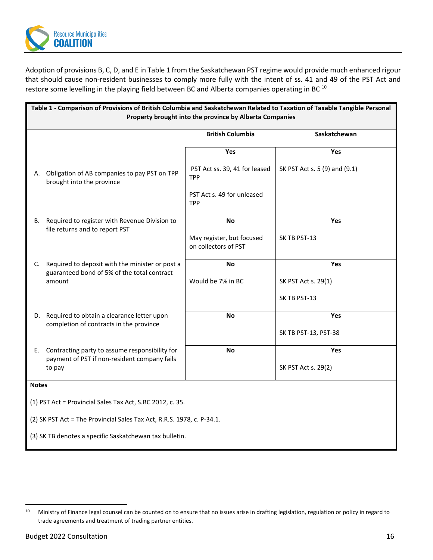

Adoption of provisions B, C, D, and E in Table 1 from the Saskatchewan PST regime would provide much enhanced rigour that should cause non-resident businesses to comply more fully with the intent of ss. 41 and 49 of the PST Act and restore some levelling in the playing field between BC and Alberta companies operating in BC <sup>10</sup>

| Table 1 - Comparison of Provisions of British Columbia and Saskatchewan Related to Taxation of Taxable Tangible Personal<br>Property brought into the province by Alberta Companies |                                                                                                             |                                                   |                               |
|-------------------------------------------------------------------------------------------------------------------------------------------------------------------------------------|-------------------------------------------------------------------------------------------------------------|---------------------------------------------------|-------------------------------|
|                                                                                                                                                                                     |                                                                                                             | <b>British Columbia</b>                           | Saskatchewan                  |
|                                                                                                                                                                                     |                                                                                                             |                                                   |                               |
|                                                                                                                                                                                     |                                                                                                             | Yes                                               | Yes                           |
|                                                                                                                                                                                     | A. Obligation of AB companies to pay PST on TPP<br>brought into the province                                | PST Act ss. 39, 41 for leased<br><b>TPP</b>       | SK PST Act s. 5 (9) and (9.1) |
|                                                                                                                                                                                     |                                                                                                             | PST Act s. 49 for unleased<br><b>TPP</b>          |                               |
|                                                                                                                                                                                     | B. Required to register with Revenue Division to<br>file returns and to report PST                          | <b>No</b>                                         | <b>Yes</b>                    |
|                                                                                                                                                                                     |                                                                                                             | May register, but focused<br>on collectors of PST | SK TB PST-13                  |
|                                                                                                                                                                                     | C. Required to deposit with the minister or post a<br>guaranteed bond of 5% of the total contract<br>amount | <b>No</b>                                         | Yes                           |
|                                                                                                                                                                                     |                                                                                                             | Would be 7% in BC                                 | SK PST Act s. 29(1)           |
|                                                                                                                                                                                     |                                                                                                             |                                                   | SK TB PST-13                  |
|                                                                                                                                                                                     | D. Required to obtain a clearance letter upon<br>completion of contracts in the province                    | <b>No</b>                                         | <b>Yes</b>                    |
|                                                                                                                                                                                     |                                                                                                             |                                                   | SK TB PST-13, PST-38          |
|                                                                                                                                                                                     | E. Contracting party to assume responsibility for<br>payment of PST if non-resident company fails           | <b>No</b>                                         | <b>Yes</b>                    |
|                                                                                                                                                                                     | to pay                                                                                                      |                                                   | SK PST Act s. 29(2)           |
| <b>Notes</b>                                                                                                                                                                        |                                                                                                             |                                                   |                               |
| (1) PST Act = Provincial Sales Tax Act, S.BC 2012, c. 35.                                                                                                                           |                                                                                                             |                                                   |                               |
| (2) SK PST Act = The Provincial Sales Tax Act, R.R.S. 1978, c. P-34.1.                                                                                                              |                                                                                                             |                                                   |                               |
| (3) SK TB denotes a specific Saskatchewan tax bulletin.                                                                                                                             |                                                                                                             |                                                   |                               |

<sup>&</sup>lt;sup>10</sup> Ministry of Finance legal counsel can be counted on to ensure that no issues arise in drafting legislation, regulation or policy in regard to trade agreements and treatment of trading partner entities.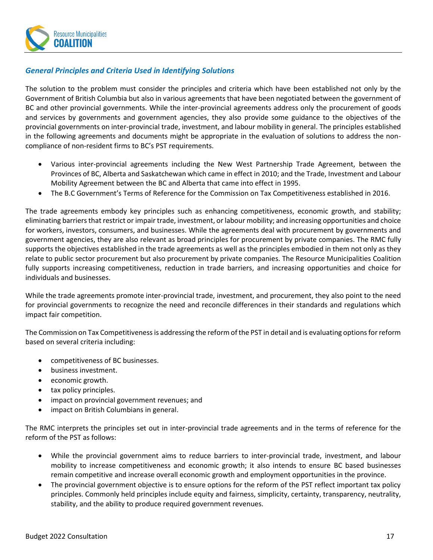

## *General Principles and Criteria Used in Identifying Solutions*

The solution to the problem must consider the principles and criteria which have been established not only by the Government of British Columbia but also in various agreements that have been negotiated between the government of BC and other provincial governments. While the inter-provincial agreements address only the procurement of goods and services by governments and government agencies, they also provide some guidance to the objectives of the provincial governments on inter-provincial trade, investment, and labour mobility in general. The principles established in the following agreements and documents might be appropriate in the evaluation of solutions to address the noncompliance of non-resident firms to BC's PST requirements.

- Various inter-provincial agreements including the New West Partnership Trade Agreement, between the Provinces of BC, Alberta and Saskatchewan which came in effect in 2010; and the Trade, Investment and Labour Mobility Agreement between the BC and Alberta that came into effect in 1995.
- The B.C Government's Terms of Reference for the Commission on Tax Competitiveness established in 2016.

The trade agreements embody key principles such as enhancing competitiveness, economic growth, and stability; eliminating barriers that restrict or impair trade, investment, or labour mobility; and increasing opportunities and choice for workers, investors, consumers, and businesses. While the agreements deal with procurement by governments and government agencies, they are also relevant as broad principles for procurement by private companies. The RMC fully supports the objectives established in the trade agreements as well as the principles embodied in them not only as they relate to public sector procurement but also procurement by private companies. The Resource Municipalities Coalition fully supports increasing competitiveness, reduction in trade barriers, and increasing opportunities and choice for individuals and businesses.

While the trade agreements promote inter-provincial trade, investment, and procurement, they also point to the need for provincial governments to recognize the need and reconcile differences in their standards and regulations which impact fair competition.

The Commission on Tax Competitiveness is addressing the reform of the PST in detail and is evaluating options for reform based on several criteria including:

- competitiveness of BC businesses.
- business investment.
- economic growth.
- tax policy principles.
- impact on provincial government revenues; and
- impact on British Columbians in general.

The RMC interprets the principles set out in inter-provincial trade agreements and in the terms of reference for the reform of the PST as follows:

- While the provincial government aims to reduce barriers to inter-provincial trade, investment, and labour mobility to increase competitiveness and economic growth; it also intends to ensure BC based businesses remain competitive and increase overall economic growth and employment opportunities in the province.
- The provincial government objective is to ensure options for the reform of the PST reflect important tax policy principles. Commonly held principles include equity and fairness, simplicity, certainty, transparency, neutrality, stability, and the ability to produce required government revenues.